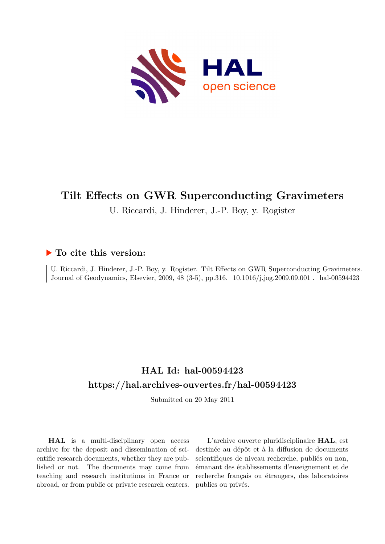

## **Tilt Effects on GWR Superconducting Gravimeters**

U. Riccardi, J. Hinderer, J.-P. Boy, y. Rogister

## **To cite this version:**

U. Riccardi, J. Hinderer, J.-P. Boy, y. Rogister. Tilt Effects on GWR Superconducting Gravimeters. Journal of Geodynamics, Elsevier, 2009, 48 (3-5), pp.316. 10.1016/j.jog.2009.09.001. hal-00594423

## **HAL Id: hal-00594423 <https://hal.archives-ouvertes.fr/hal-00594423>**

Submitted on 20 May 2011

**HAL** is a multi-disciplinary open access archive for the deposit and dissemination of scientific research documents, whether they are published or not. The documents may come from teaching and research institutions in France or abroad, or from public or private research centers.

L'archive ouverte pluridisciplinaire **HAL**, est destinée au dépôt et à la diffusion de documents scientifiques de niveau recherche, publiés ou non, émanant des établissements d'enseignement et de recherche français ou étrangers, des laboratoires publics ou privés.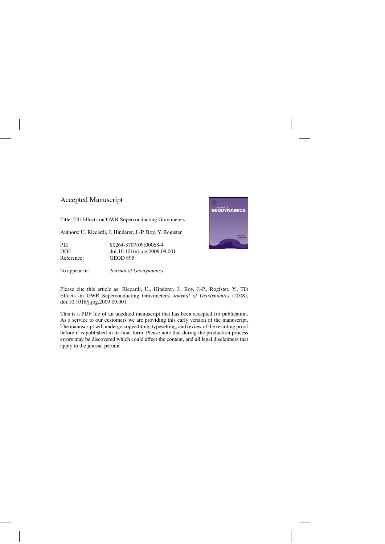## Accepted Manuscript

Title: Tilt Effects on GWR Superconducting Gravimeters

Authors: U. Riccardi, J. Hinderer, J.-P. Boy, Y. Rogister

PII: S0264-3707(09)00068-4 DOI: [doi:10.1016/j.jog.2009.09.001](dx.doi.org/doi:10.1016/j.jog.2009.09.001) Reference: GEOD 895

To appear in: *Journal of Geodynamics*

Please cite this article as: Riccardi, U., Hinderer, J., Boy, J.-P., Rogister, Y., Tilt Effects on GWR Superconducting Gravimeters, *Journal of Geodynamics* (2008), doi:[10.1016/j.jog.2009.09.001](dx.doi.org/10.1016/j.jog.2009.09.001)

This is a PDF file of an unedited manuscript that has been accepted for publication. As a service to our customers we are providing this early version of the manuscript. The manuscript will undergo copyediting, typesetting, and review of the resulting proof before it is published in its final form. Please note that during the production process errors may be discovered which could affect the content, and all legal disclaimers that apply to the journal pertain.

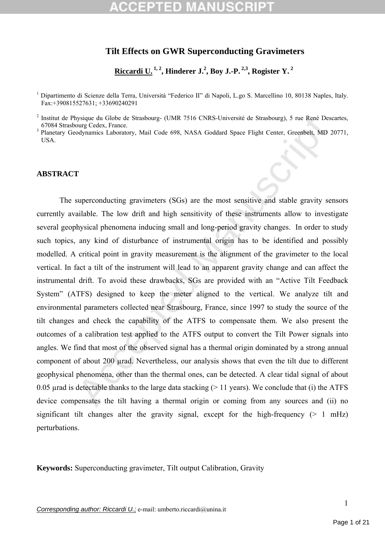### **Tilt Effects on GWR Superconducting Gravimeters**

**Riccardi U. 1, 2, Hinderer J.2 , Boy J.-P. 2,3, Rogister Y. 2** 

<sup>1</sup> Dipartimento di Scienze della Terra, Università "Federico II" di Napoli, L.go S. Marcellino 10, 80138 Naples, Italy. Fax:+390815527631; +33690240291

<sup>2</sup> Institut de Physique du Globe de Strasbourg- (UMR 7516 CNRS-Université de Strasbourg), 5 rue René Descartes, 67084 Strasbourg Cedex, France. 3 Planetary Geodynamics Laboratory, Mail Code 698, NASA Goddard Space Flight Center, Greenbelt, MD 20771,

**USA** 

### **ABSTRACT**

bysine du Globe de Strasbourg- (UMR 7516 CNRS-Université de Strasbourg). S rue René Des<br>odgrand at Globe de Strasbourg- (UMR 7516 CNRS-Université de Strasbourg). S rue René Des<br>odgrannics Laboratory, Mail Code 698, NASA Go The superconducting gravimeters (SGs) are the most sensitive and stable gravity sensors currently available. The low drift and high sensitivity of these instruments allow to investigate several geophysical phenomena inducing small and long-period gravity changes. In order to study such topics, any kind of disturbance of instrumental origin has to be identified and possibly modelled. A critical point in gravity measurement is the alignment of the gravimeter to the local vertical. In fact a tilt of the instrument will lead to an apparent gravity change and can affect the instrumental drift. To avoid these drawbacks, SGs are provided with an "Active Tilt Feedback System" (ATFS) designed to keep the meter aligned to the vertical. We analyze tilt and environmental parameters collected near Strasbourg, France, since 1997 to study the source of the tilt changes and check the capability of the ATFS to compensate them. We also present the outcomes of a calibration test applied to the ATFS output to convert the Tilt Power signals into angles. We find that most of the observed signal has a thermal origin dominated by a strong annual component of about 200 µrad. Nevertheless, our analysis shows that even the tilt due to different geophysical phenomena, other than the thermal ones, can be detected. A clear tidal signal of about 0.05 urad is detectable thanks to the large data stacking  $(> 11 \text{ years})$ . We conclude that (i) the ATFS device compensates the tilt having a thermal origin or coming from any sources and (ii) no significant tilt changes alter the gravity signal, except for the high-frequency  $(> 1 \text{ mHz})$ perturbations.

**Keywords:** Superconducting gravimeter, Tilt output Calibration, Gravity

*Corresponding author: Riccardi U.;* e-mail: umberto.riccardi@unina.it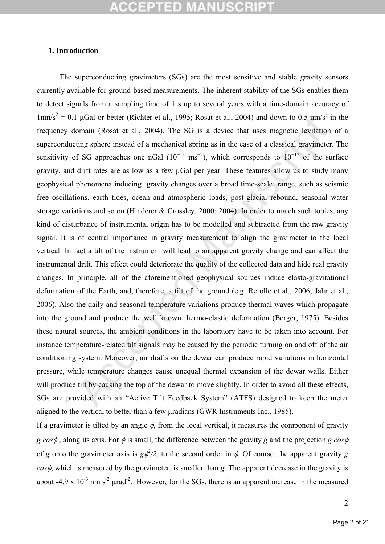### **1. Introduction**

1 μGal or better (Richter et al., 1995; Rosat et al., 2004) and down to 0.5 nm/s<sup>2</sup> i<br>omain (Rosat et al., 2004). The SG is a device that uses magnetic levitation<br>ting sphere instead of a mechanical spring as in the case The superconducting gravimeters (SGs) are the most sensitive and stable gravity sensors currently available for ground-based measurements. The inherent stability of the SGs enables them to detect signals from a sampling time of 1 s up to several years with a time-domain accuracy of  $1 \text{nm/s}^2 = 0.1 \text{ }\mu\text{Gal}$  or better (Richter et al., 1995; Rosat et al., 2004) and down to 0.5 nm/s<sup>2</sup> in the frequency domain (Rosat et al., 2004). The SG is a device that uses magnetic levitation of a superconducting sphere instead of a mechanical spring as in the case of a classical gravimeter. The sensitivity of SG approaches one nGal  $(10^{-11} \text{ ms}^{-2})$ , which corresponds to  $10^{-12}$  of the surface gravity, and drift rates are as low as a few µGal per year. These features allow us to study many geophysical phenomena inducing gravity changes over a broad time-scale range, such as seismic free oscillations, earth tides, ocean and atmospheric loads, post-glacial rebound, seasonal water storage variations and so on (Hinderer & Crossley, 2000; 2004). In order to match such topics, any kind of disturbance of instrumental origin has to be modelled and subtracted from the raw gravity signal. It is of central importance in gravity measurement to align the gravimeter to the local vertical. In fact a tilt of the instrument will lead to an apparent gravity change and can affect the instrumental drift. This effect could deteriorate the quality of the collected data and hide real gravity changes. In principle, all of the aforementioned geophysical sources induce elasto-gravitational deformation of the Earth, and, therefore, a tilt of the ground (e.g. Rerolle et al., 2006; Jahr et al., 2006). Also the daily and seasonal temperature variations produce thermal waves which propagate into the ground and produce the well known thermo-elastic deformation (Berger, 1975). Besides these natural sources, the ambient conditions in the laboratory have to be taken into account. For instance temperature-related tilt signals may be caused by the periodic turning on and off of the air conditioning system. Moreover, air drafts on the dewar can produce rapid variations in horizontal pressure, while temperature changes cause unequal thermal expansion of the dewar walls. Either will produce tilt by causing the top of the dewar to move slightly. In order to avoid all these effects, SGs are provided with an "Active Tilt Feedback System" (ATFS) designed to keep the meter aligned to the vertical to better than a few µradians (GWR Instruments Inc., 1985).

If a gravimeter is tilted by an angle  $\phi$ , from the local vertical, it measures the component of gravity *g cos*φ , along its axis. For φ is small, the difference between the gravity *g* and the projection *g cos*φ of *g* onto the gravimeter axis is  $g\phi^2/2$ , to the second order in  $\phi$ . Of course, the apparent gravity *g cos*φ, which is measured by the gravimeter, is smaller than *g*. The apparent decrease in the gravity is about -4.9 x  $10^{-3}$  nm s<sup>-2</sup> urad<sup>-2</sup>. However, for the SGs, there is an apparent increase in the measured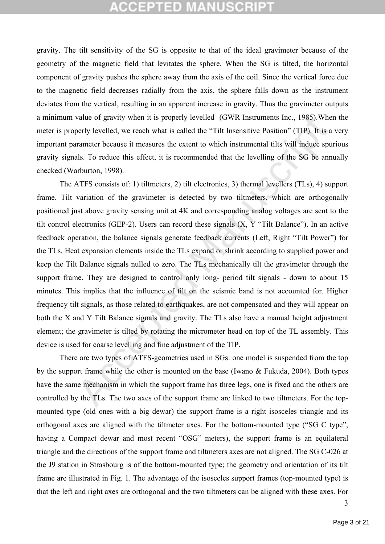# **CCEPTED MANUSCRIP**

gravity. The tilt sensitivity of the SG is opposite to that of the ideal gravimeter because of the geometry of the magnetic field that levitates the sphere. When the SG is tilted, the horizontal component of gravity pushes the sphere away from the axis of the coil. Since the vertical force due to the magnetic field decreases radially from the axis, the sphere falls down as the instrument deviates from the vertical, resulting in an apparent increase in gravity. Thus the gravimeter outputs a minimum value of gravity when it is properly levelled (GWR Instruments Inc., 1985).When the meter is properly levelled, we reach what is called the "Tilt Insensitive Position" (TIP). It is a very important parameter because it measures the extent to which instrumental tilts will induce spurious gravity signals. To reduce this effect, it is recommended that the levelling of the SG be annually checked (Warburton, 1998).

value of gravity when it is properly levelled (GWR Instruments lnc., 1985).Wherely levelled, we reach what is called the "Tilt Insensitive Position" (TIP). It is a rannometer because it measures the extent to which instrum The ATFS consists of: 1) tiltmeters, 2) tilt electronics, 3) thermal levellers (TLs), 4) support frame. Tilt variation of the gravimeter is detected by two tiltmeters, which are orthogonally positioned just above gravity sensing unit at 4K and corresponding analog voltages are sent to the tilt control electronics (GEP-2). Users can record these signals (X, Y "Tilt Balance"). In an active feedback operation, the balance signals generate feedback currents (Left, Right "Tilt Power") for the TLs. Heat expansion elements inside the TLs expand or shrink according to supplied power and keep the Tilt Balance signals nulled to zero. The TLs mechanically tilt the gravimeter through the support frame. They are designed to control only long- period tilt signals - down to about 15 minutes. This implies that the influence of tilt on the seismic band is not accounted for. Higher frequency tilt signals, as those related to earthquakes, are not compensated and they will appear on both the X and Y Tilt Balance signals and gravity. The TLs also have a manual height adjustment element; the gravimeter is tilted by rotating the micrometer head on top of the TL assembly. This device is used for coarse levelling and fine adjustment of the TIP.

There are two types of ATFS-geometries used in SGs: one model is suspended from the top by the support frame while the other is mounted on the base (Iwano & Fukuda, 2004). Both types have the same mechanism in which the support frame has three legs, one is fixed and the others are controlled by the TLs. The two axes of the support frame are linked to two tiltmeters. For the topmounted type (old ones with a big dewar) the support frame is a right isosceles triangle and its orthogonal axes are aligned with the tiltmeter axes. For the bottom-mounted type ("SG C type", having a Compact dewar and most recent "OSG" meters), the support frame is an equilateral triangle and the directions of the support frame and tiltmeters axes are not aligned. The SG C-026 at the J9 station in Strasbourg is of the bottom-mounted type; the geometry and orientation of its tilt frame are illustrated in Fig. 1. The advantage of the isosceles support frames (top-mounted type) is that the left and right axes are orthogonal and the two tiltmeters can be aligned with these axes. For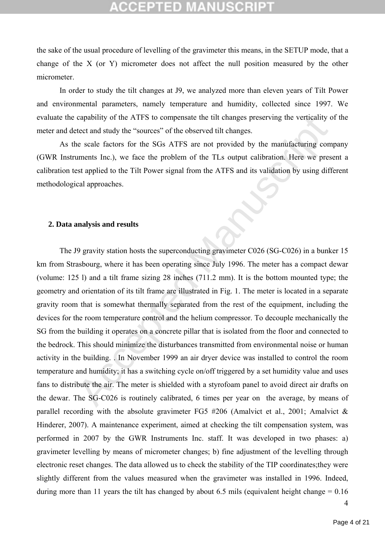# (CELLED)

the sake of the usual procedure of levelling of the gravimeter this means, in the SETUP mode, that a change of the X (or Y) micrometer does not affect the null position measured by the other micrometer.

In order to study the tilt changes at J9, we analyzed more than eleven years of Tilt Power and environmental parameters, namely temperature and humidity, collected since 1997. We evaluate the capability of the ATFS to compensate the tilt changes preserving the verticality of the meter and detect and study the "sources" of the observed tilt changes.

As the scale factors for the SGs ATFS are not provided by the manufacturing company (GWR Instruments Inc.), we face the problem of the TLs output calibration. Here we present a calibration test applied to the Tilt Power signal from the ATFS and its validation by using different methodological approaches.

### **2. Data analysis and results**

capability of the ATFS to compensate the tilt changes preserving the verticality of<br>etect and study the "sources" of the observed tilt changes.<br>
see scale factors for the SGs ATFS are not provided by the manufacturing com The J9 gravity station hosts the superconducting gravimeter C026 (SG-C026) in a bunker 15 km from Strasbourg, where it has been operating since July 1996. The meter has a compact dewar (volume: 125 l) and a tilt frame sizing 28 inches (711.2 mm). It is the bottom mounted type; the geometry and orientation of its tilt frame are illustrated in Fig. 1. The meter is located in a separate gravity room that is somewhat thermally separated from the rest of the equipment, including the devices for the room temperature control and the helium compressor. To decouple mechanically the SG from the building it operates on a concrete pillar that is isolated from the floor and connected to the bedrock. This should minimize the disturbances transmitted from environmental noise or human activity in the building. . In November 1999 an air dryer device was installed to control the room temperature and humidity; it has a switching cycle on/off triggered by a set humidity value and uses fans to distribute the air. The meter is shielded with a styrofoam panel to avoid direct air drafts on the dewar. The SG-C026 is routinely calibrated, 6 times per year on the average, by means of parallel recording with the absolute gravimeter FG5  $\#206$  (Amalvict et al., 2001; Amalvict & Hinderer, 2007). A maintenance experiment, aimed at checking the tilt compensation system, was performed in 2007 by the GWR Instruments Inc. staff. It was developed in two phases: a) gravimeter levelling by means of micrometer changes; b) fine adjustment of the levelling through electronic reset changes. The data allowed us to check the stability of the TIP coordinates;they were slightly different from the values measured when the gravimeter was installed in 1996. Indeed, during more than 11 years the tilt has changed by about 6.5 mils (equivalent height change  $= 0.16$ )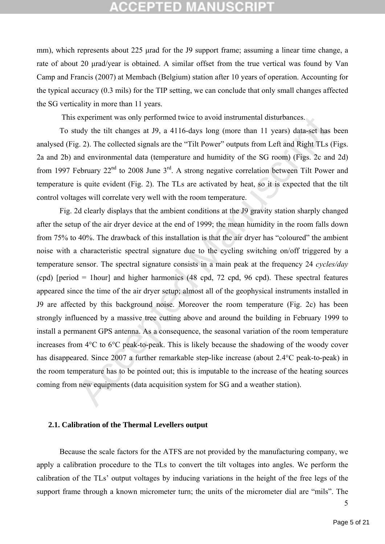## **CCEPTED MANUSCR**

mm), which represents about 225 μrad for the J9 support frame; assuming a linear time change, a rate of about 20 μrad/year is obtained. A similar offset from the true vertical was found by Van Camp and Francis (2007) at Membach (Belgium) station after 10 years of operation. Accounting for the typical accuracy (0.3 mils) for the TIP setting, we can conclude that only small changes affected the SG verticality in more than 11 years.

This experiment was only performed twice to avoid instrumental disturbances.

To study the tilt changes at J9, a 4116-days long (more than 11 years) data-set has been analysed (Fig. 2). The collected signals are the "Tilt Power" outputs from Left and Right TLs (Figs. 2a and 2b) and environmental data (temperature and humidity of the SG room) (Figs. 2c and 2d) from 1997 February  $22<sup>nd</sup>$  to 2008 June  $3<sup>rd</sup>$ . A strong negative correlation between Tilt Power and temperature is quite evident (Fig. 2). The TLs are activated by heat, so it is expected that the tilt control voltages will correlate very well with the room temperature.

experiment was only performed twice to avoid instrumental disturbances.<br>
tudy the tilt changes at 19, a 4116-days long (more than 11 years) data-set has<br>
2.2). The collected signals are the "Tilt Power" outputs from Left Fig. 2d clearly displays that the ambient conditions at the J9 gravity station sharply changed after the setup of the air dryer device at the end of 1999; the mean humidity in the room falls down from 75% to 40%. The drawback of this installation is that the air dryer has "coloured" the ambient noise with a characteristic spectral signature due to the cycling switching on/off triggered by a temperature sensor. The spectral signature consists in a main peak at the frequency 24 *cycles/day* (cpd) [period = 1hour] and higher harmonics (48 cpd, 72 cpd, 96 cpd). These spectral features appeared since the time of the air dryer setup; almost all of the geophysical instruments installed in J9 are affected by this background noise. Moreover the room temperature (Fig. 2c) has been strongly influenced by a massive tree cutting above and around the building in February 1999 to install a permanent GPS antenna. As a consequence, the seasonal variation of the room temperature increases from 4°C to 6°C peak-to-peak. This is likely because the shadowing of the woody cover has disappeared. Since 2007 a further remarkable step-like increase (about 2.4°C peak-to-peak) in the room temperature has to be pointed out; this is imputable to the increase of the heating sources coming from new equipments (data acquisition system for SG and a weather station).

### **2.1. Calibration of the Thermal Levellers output**

Because the scale factors for the ATFS are not provided by the manufacturing company, we apply a calibration procedure to the TLs to convert the tilt voltages into angles. We perform the calibration of the TLs' output voltages by inducing variations in the height of the free legs of the support frame through a known micrometer turn; the units of the micrometer dial are "mils". The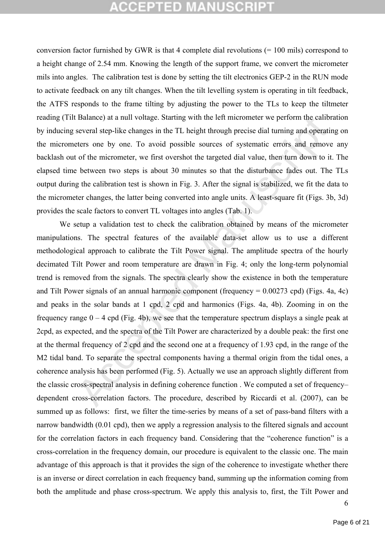# **CCEPTED MANUSCRIP**

conversion factor furnished by GWR is that 4 complete dial revolutions (= 100 mils) correspond to a height change of 2.54 mm. Knowing the length of the support frame, we convert the micrometer mils into angles. The calibration test is done by setting the tilt electronics GEP-2 in the RUN mode to activate feedback on any tilt changes. When the tilt levelling system is operating in tilt feedback, the ATFS responds to the frame tilting by adjusting the power to the TLs to keep the tiltmeter reading (Tilt Balance) at a null voltage. Starting with the left micrometer we perform the calibration by inducing several step-like changes in the TL height through precise dial turning and operating on the micrometers one by one. To avoid possible sources of systematic errors and remove any backlash out of the micrometer, we first overshot the targeted dial value, then turn down to it. The elapsed time between two steps is about 30 minutes so that the disturbance fades out. The TLs output during the calibration test is shown in Fig. 3. After the signal is stabilized, we fit the data to the micrometer changes, the latter being converted into angle units. A least-square fit (Figs. 3b, 3d) provides the scale factors to convert TL voltages into angles (Tab. 1).

Balance) at a null voltage. Starfing with the left micrometer we perform the calibs<br>veveral step-like changes in the TL height through precise dial turning and operatities one by one. To avoid possible sources of systemat We setup a validation test to check the calibration obtained by means of the micrometer manipulations. The spectral features of the available data-set allow us to use a different methodological approach to calibrate the Tilt Power signal. The amplitude spectra of the hourly decimated Tilt Power and room temperature are drawn in Fig. 4; only the long-term polynomial trend is removed from the signals. The spectra clearly show the existence in both the temperature and Tilt Power signals of an annual harmonic component (frequency  $= 0.00273$  cpd) (Figs. 4a, 4c) and peaks in the solar bands at 1 cpd, 2 cpd and harmonics (Figs. 4a, 4b). Zooming in on the frequency range  $0 - 4$  cpd (Fig. 4b), we see that the temperature spectrum displays a single peak at 2cpd, as expected, and the spectra of the Tilt Power are characterized by a double peak: the first one at the thermal frequency of 2 cpd and the second one at a frequency of 1.93 cpd, in the range of the M2 tidal band. To separate the spectral components having a thermal origin from the tidal ones, a coherence analysis has been performed (Fig. 5). Actually we use an approach slightly different from the classic cross-spectral analysis in defining coherence function . We computed a set of frequency– dependent cross-correlation factors. The procedure, described by Riccardi et al. (2007), can be summed up as follows: first, we filter the time-series by means of a set of pass-band filters with a narrow bandwidth (0.01 cpd), then we apply a regression analysis to the filtered signals and account for the correlation factors in each frequency band. Considering that the "coherence function" is a cross-correlation in the frequency domain, our procedure is equivalent to the classic one. The main advantage of this approach is that it provides the sign of the coherence to investigate whether there is an inverse or direct correlation in each frequency band, summing up the information coming from both the amplitude and phase cross-spectrum. We apply this analysis to, first, the Tilt Power and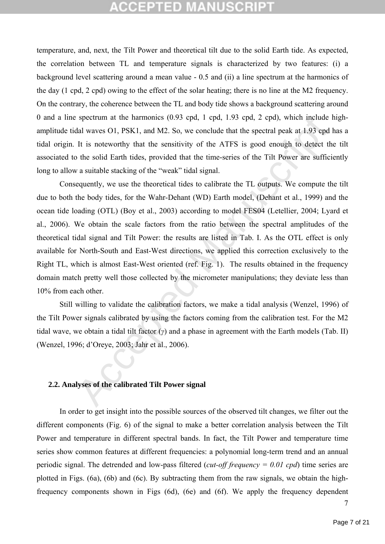## **CCEPTED MANUSCR**

temperature, and, next, the Tilt Power and theoretical tilt due to the solid Earth tide. As expected, the correlation between TL and temperature signals is characterized by two features: (i) a background level scattering around a mean value - 0.5 and (ii) a line spectrum at the harmonics of the day (1 cpd, 2 cpd) owing to the effect of the solar heating; there is no line at the M2 frequency. On the contrary, the coherence between the TL and body tide shows a background scattering around 0 and a line spectrum at the harmonics (0.93 cpd, 1 cpd, 1.93 cpd, 2 cpd), which include highamplitude tidal waves O1, PSK1, and M2. So, we conclude that the spectral peak at 1.93 cpd has a tidal origin. It is noteworthy that the sensitivity of the ATFS is good enough to detect the tilt associated to the solid Earth tides, provided that the time-series of the Tilt Power are sufficiently long to allow a suitable stacking of the "weak" tidal signal.

spectrum at the harmonics (0.93 cpd, 1 cpd, 1.93 cpd, 2 cpd), which include<br>tal waves O1, PSK1, and M2. So, we conclude that the spectral peak at 1.93 cpd<br>It is noteworthy that the sensitivity of the ATFS is good enough t Consequently, we use the theoretical tides to calibrate the TL outputs. We compute the tilt due to both the body tides, for the Wahr-Dehant (WD) Earth model, (Dehant et al., 1999) and the ocean tide loading (OTL) (Boy et al., 2003) according to model FES04 (Letellier, 2004; Lyard et al., 2006). We obtain the scale factors from the ratio between the spectral amplitudes of the theoretical tidal signal and Tilt Power: the results are listed in Tab. I. As the OTL effect is only available for North-South and East-West directions, we applied this correction exclusively to the Right TL, which is almost East-West oriented (ref. Fig. 1). The results obtained in the frequency domain match pretty well those collected by the micrometer manipulations; they deviate less than 10% from each other.

Still willing to validate the calibration factors, we make a tidal analysis (Wenzel, 1996) of the Tilt Power signals calibrated by using the factors coming from the calibration test. For the M2 tidal wave, we obtain a tidal tilt factor (*γ*) and a phase in agreement with the Earth models (Tab. II) (Wenzel, 1996; d'Oreye, 2003; Jahr et al., 2006).

### **2.2. Analyses of the calibrated Tilt Power signal**

In order to get insight into the possible sources of the observed tilt changes, we filter out the different components (Fig. 6) of the signal to make a better correlation analysis between the Tilt Power and temperature in different spectral bands. In fact, the Tilt Power and temperature time series show common features at different frequencies: a polynomial long-term trend and an annual periodic signal. The detrended and low-pass filtered (*cut-off frequency = 0.01 cpd*) time series are plotted in Figs. (6a), (6b) and (6c). By subtracting them from the raw signals, we obtain the highfrequency components shown in Figs (6d), (6e) and (6f). We apply the frequency dependent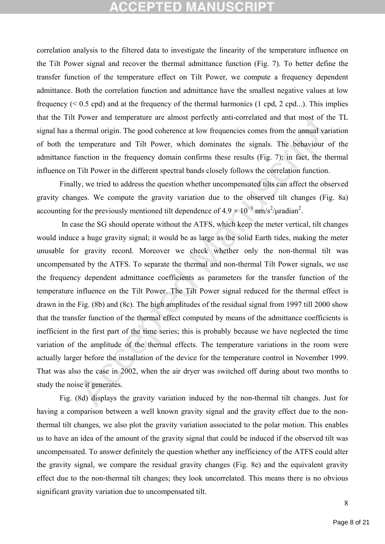## **CCEPTED MANUSCRIPT**

correlation analysis to the filtered data to investigate the linearity of the temperature influence on the Tilt Power signal and recover the thermal admittance function (Fig. 7). To better define the transfer function of the temperature effect on Tilt Power, we compute a frequency dependent admittance. Both the correlation function and admittance have the smallest negative values at low frequency ( $0.5$  cpd) and at the frequency of the thermal harmonics (1 cpd, 2 cpd...). This implies that the Tilt Power and temperature are almost perfectly anti-correlated and that most of the TL signal has a thermal origin. The good coherence at low frequencies comes from the annual variation of both the temperature and Tilt Power, which dominates the signals. The behaviour of the admittance function in the frequency domain confirms these results (Fig. 7); in fact, the thermal influence on Tilt Power in the different spectral bands closely follows the correlation function.

Finally, we tried to address the question whether uncompensated tilts can affect the observed gravity changes. We compute the gravity variation due to the observed tilt changes (Fig. 8a) accounting for the previously mentioned tilt dependence of  $4.9 \times 10^{-3}$  nm/s<sup>2</sup>/µradian<sup>2</sup>.

Power and temperature are almost perfectly anti-correlated and that most of the<br>thermal origin. The good coherence at low frequencies comes from the annual vari<br>temperature and Tilt Power, which dominates the signals. The In case the SG should operate without the ATFS, which keep the meter vertical, tilt changes would induce a huge gravity signal; it would be as large as the solid Earth tides, making the meter unusable for gravity record. Moreover we check whether only the non-thermal tilt was uncompensated by the ATFS. To separate the thermal and non-thermal Tilt Power signals, we use the frequency dependent admittance coefficients as parameters for the transfer function of the temperature influence on the Tilt Power. The Tilt Power signal reduced for the thermal effect is drawn in the Fig. (8b) and (8c). The high amplitudes of the residual signal from 1997 till 2000 show that the transfer function of the thermal effect computed by means of the admittance coefficients is inefficient in the first part of the time series; this is probably because we have neglected the time variation of the amplitude of the thermal effects. The temperature variations in the room were actually larger before the installation of the device for the temperature control in November 1999. That was also the case in 2002, when the air dryer was switched off during about two months to study the noise it generates.

Fig. (8d) displays the gravity variation induced by the non-thermal tilt changes. Just for having a comparison between a well known gravity signal and the gravity effect due to the nonthermal tilt changes, we also plot the gravity variation associated to the polar motion. This enables us to have an idea of the amount of the gravity signal that could be induced if the observed tilt was uncompensated. To answer definitely the question whether any inefficiency of the ATFS could alter the gravity signal, we compare the residual gravity changes (Fig. 8e) and the equivalent gravity effect due to the non-thermal tilt changes; they look uncorrelated. This means there is no obvious significant gravity variation due to uncompensated tilt.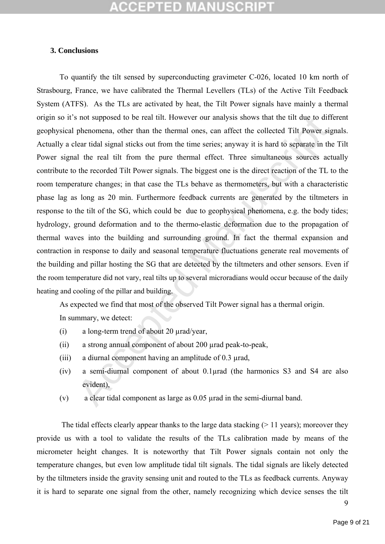# **CCEPTED MANUSCR**

### **3. Conclusions**

s not supposed to be real tilt. However our analysis shows that the tilt due to diff<br>phenomena, other than the thermal ones, can affect the collected Tilt Power signary<br>lear tidal signal sticks out from the time series; a To quantify the tilt sensed by superconducting gravimeter C-026, located 10 km north of Strasbourg, France, we have calibrated the Thermal Levellers (TLs) of the Active Tilt Feedback System (ATFS). As the TLs are activated by heat, the Tilt Power signals have mainly a thermal origin so it's not supposed to be real tilt. However our analysis shows that the tilt due to different geophysical phenomena, other than the thermal ones, can affect the collected Tilt Power signals. Actually a clear tidal signal sticks out from the time series; anyway it is hard to separate in the Tilt Power signal the real tilt from the pure thermal effect. Three simultaneous sources actually contribute to the recorded Tilt Power signals. The biggest one is the direct reaction of the TL to the room temperature changes; in that case the TLs behave as thermometers, but with a characteristic phase lag as long as 20 min. Furthermore feedback currents are generated by the tiltmeters in response to the tilt of the SG, which could be due to geophysical phenomena, e.g. the body tides; hydrology, ground deformation and to the thermo-elastic deformation due to the propagation of thermal waves into the building and surrounding ground. In fact the thermal expansion and contraction in response to daily and seasonal temperature fluctuations generate real movements of the building and pillar hosting the SG that are detected by the tiltmeters and other sensors. Even if the room temperature did not vary, real tilts up to several microradians would occur because of the daily heating and cooling of the pillar and building.

As expected we find that most of the observed Tilt Power signal has a thermal origin.

In summary, we detect:

- (i) a long-term trend of about 20 µrad/year,
- (ii) a strong annual component of about 200 µrad peak-to-peak,
- (iii) a diurnal component having an amplitude of 0.3 µrad,
- (iv) a semi-diurnal component of about 0.1µrad (the harmonics S3 and S4 are also evident),
- (v) a clear tidal component as large as 0.05 µrad in the semi-diurnal band.

The tidal effects clearly appear thanks to the large data stacking  $(>11 \text{ years})$ ; moreover they provide us with a tool to validate the results of the TLs calibration made by means of the micrometer height changes. It is noteworthy that Tilt Power signals contain not only the temperature changes, but even low amplitude tidal tilt signals. The tidal signals are likely detected by the tiltmeters inside the gravity sensing unit and routed to the TLs as feedback currents. Anyway it is hard to separate one signal from the other, namely recognizing which device senses the tilt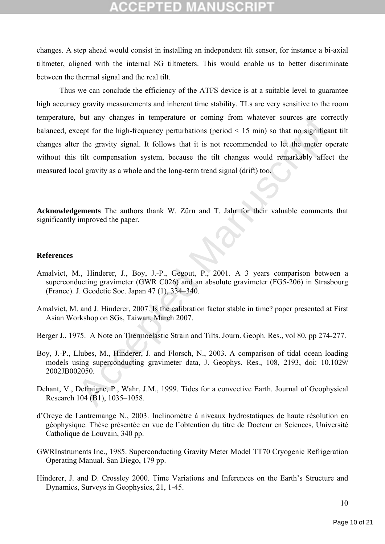changes. A step ahead would consist in installing an independent tilt sensor, for instance a bi-axial tiltmeter, aligned with the internal SG tiltmeters. This would enable us to better discriminate between the thermal signal and the real tilt.

but any changes in temperature or coming from whatever sources are concept for the high-frequency perturbations (period < 15 min) so that no significant relegative signal. It follows that it is not recommended to let the m Thus we can conclude the efficiency of the ATFS device is at a suitable level to guarantee high accuracy gravity measurements and inherent time stability. TLs are very sensitive to the room temperature, but any changes in temperature or coming from whatever sources are correctly balanced, except for the high-frequency perturbations (period < 15 min) so that no significant tilt changes alter the gravity signal. It follows that it is not recommended to let the meter operate without this tilt compensation system, because the tilt changes would remarkably affect the measured local gravity as a whole and the long-term trend signal (drift) too.

**Acknowledgements** The authors thank W. Zürn and T. Jahr for their valuable comments that significantly improved the paper.

### **References**

- Amalvict, M., Hinderer, J., Boy, J.-P., Gegout, P., 2001. A 3 years comparison between a superconducting gravimeter (GWR C026) and an absolute gravimeter (FG5-206) in Strasbourg (France). J. Geodetic Soc. Japan 47 (1), 334–340.
- Amalvict, M. and J. Hinderer, 2007. Is the calibration factor stable in time? paper presented at First Asian Workshop on SGs, Taiwan, March 2007.
- Berger J., 1975. A Note on Thermoelastic Strain and Tilts. Journ. Geoph. Res., vol 80, pp 274-277.
- Boy, J.-P., Llubes, M., Hinderer, J. and Florsch, N., 2003. A comparison of tidal ocean loading models using superconducting gravimeter data, J. Geophys. Res., 108, 2193, doi: 10.1029/ 2002JB002050.
- Dehant, V., Defraigne, P., Wahr, J.M., 1999. Tides for a convective Earth. Journal of Geophysical Research 104 (B1), 1035–1058.
- d'Oreye de Lantremange N., 2003. Inclinomètre à niveaux hydrostatiques de haute résolution en géophysique. Thèse présentée en vue de l'obtention du titre de Docteur en Sciences, Université Catholique de Louvain, 340 pp.
- GWRInstruments Inc., 1985. Superconducting Gravity Meter Model TT70 Cryogenic Refrigeration Operating Manual. San Diego, 179 pp.
- Hinderer, J. and D. Crossley 2000. Time Variations and Inferences on the Earth's Structure and Dynamics, Surveys in Geophysics, 21, 1-45.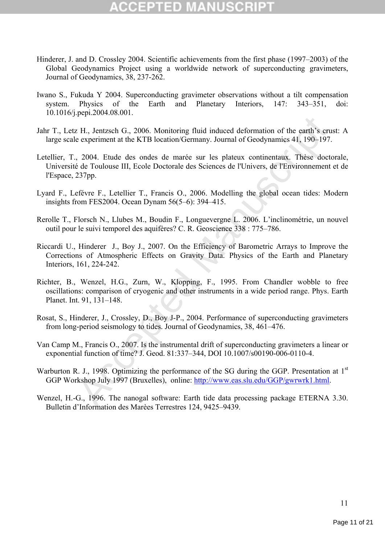# 3 D

- Hinderer, J. and D. Crossley 2004. Scientific achievements from the first phase (1997–2003) of the Global Geodynamics Project using a worldwide network of superconducting gravimeters, Journal of Geodynamics, 38, 237-262.
- Iwano S., Fukuda Y 2004. Superconducting gravimeter observations without a tilt compensation system. Physics of the Earth and Planetary Interiors, 147: 343–351, doi: 10.1016/j.pepi.2004.08.001.
- Jahr T., Letz H., Jentzsch G., 2006. Monitoring fluid induced deformation of the earth's crust: A large scale experiment at the KTB location/Germany. Journal of Geodynamics 41, 190–197.
- remeasured Manuscript (Initial induced deformation of the earth's critical Haupterium endines are experiment at the KTB location/Germany. Journal of Geodynamics 41, 190-197.<br>
2004. Etude des ondes de marée sur les plateux Letellier, T., 2004. Etude des ondes de marée sur les plateux continentaux. Thèse doctorale, Université de Toulouse III, Ecole Doctorale des Sciences de l'Univers, de l'Environnement et de l'Espace, 237pp.
- Lyard F., Lefévre F., Letellier T., Francis O., 2006. Modelling the global ocean tides: Modern insights from FES2004. Ocean Dynam 56(5–6): 394–415.
- Rerolle T., Florsch N., Llubes M., Boudin F., Longuevergne L. 2006. L'inclinométrie, un nouvel outil pour le suivi temporel des aquifères? C. R. Geoscience 338 : 775–786.
- Riccardi U., Hinderer J., Boy J., 2007. On the Efficiency of Barometric Arrays to Improve the Corrections of Atmospheric Effects on Gravity Data. Physics of the Earth and Planetary Interiors, 161, 224-242.
- Richter, B., Wenzel, H.G., Zurn, W., Klopping, F., 1995. From Chandler wobble to free oscillations: comparison of cryogenic and other instruments in a wide period range. Phys. Earth Planet. Int. 91, 131–148.
- Rosat, S., Hinderer, J., Crossley, D., Boy J-P., 2004. Performance of superconducting gravimeters from long-period seismology to tides. Journal of Geodynamics, 38, 461–476.
- Van Camp M., Francis O., 2007. Is the instrumental drift of superconducting gravimeters a linear or exponential function of time? J. Geod. 81:337–344, DOI 10.1007/s00190-006-0110-4.
- Warburton R. J., 1998. Optimizing the performance of the SG during the GGP. Presentation at 1<sup>st</sup> GGP Workshop July 1997 (Bruxelles), online: http://www.eas.slu.edu/GGP/gwrwrk1.html.
- Wenzel, H.-G., 1996. The nanogal software: Earth tide data processing package ETERNA 3.30. Bulletin d'Information des Marèes Terrestres 124, 9425–9439.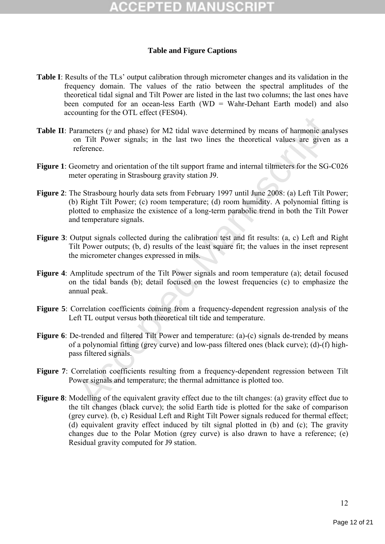## **Table and Figure Captions**

- **Table I**: Results of the TLs' output calibration through micrometer changes and its validation in the frequency domain. The values of the ratio between the spectral amplitudes of the theoretical tidal signal and Tilt Power are listed in the last two columns; the last ones have been computed for an ocean-less Earth (WD = Wahr-Dehant Earth model) and also accounting for the OTL effect (FES04).
- **Table II**: Parameters (*γ* and phase) for M2 tidal wave determined by means of harmonic analyses on Tilt Power signals; in the last two lines the theoretical values are given as a reference.
- **Figure 1**: Geometry and orientation of the tilt support frame and internal tiltmeters for the SG-C026 meter operating in Strasbourg gravity station J9.
- beaming of the state of the state of the state of the state of the manner of Tilt Power signals; in the last two lines the theoretical values are given eference.<br>
Significant Signals: in the last two lines the theoretical **Figure 2**: The Strasbourg hourly data sets from February 1997 until June 2008: (a) Left Tilt Power; (b) Right Tilt Power; (c) room temperature; (d) room humidity. A polynomial fitting is plotted to emphasize the existence of a long-term parabolic trend in both the Tilt Power and temperature signals.
- **Figure 3**: Output signals collected during the calibration test and fit results: (a, c) Left and Right Tilt Power outputs; (b, d) results of the least square fit; the values in the inset represent the micrometer changes expressed in mils.
- **Figure 4**: Amplitude spectrum of the Tilt Power signals and room temperature (a); detail focused on the tidal bands (b); detail focused on the lowest frequencies (c) to emphasize the annual peak.
- **Figure 5**: Correlation coefficients coming from a frequency-dependent regression analysis of the Left TL output versus both theoretical tilt tide and temperature.
- **Figure 6**: De-trended and filtered Tilt Power and temperature: (a)-(c) signals de-trended by means of a polynomial fitting (grey curve) and low-pass filtered ones (black curve); (d)-(f) highpass filtered signals.
- **Figure 7**: Correlation coefficients resulting from a frequency-dependent regression between Tilt Power signals and temperature; the thermal admittance is plotted too.
- **Figure 8**: Modelling of the equivalent gravity effect due to the tilt changes: (a) gravity effect due to the tilt changes (black curve); the solid Earth tide is plotted for the sake of comparison (grey curve). (b, c) Residual Left and Right Tilt Power signals reduced for thermal effect; (d) equivalent gravity effect induced by tilt signal plotted in (b) and (c); The gravity changes due to the Polar Motion (grey curve) is also drawn to have a reference; (e) Residual gravity computed for J9 station.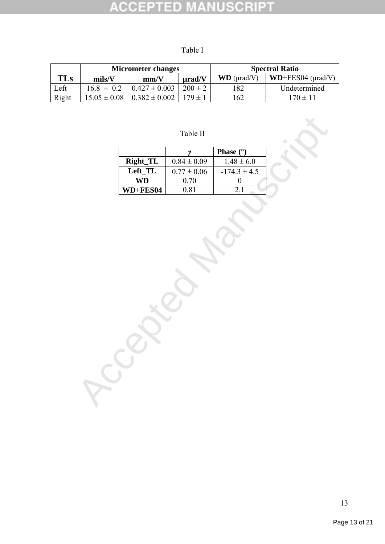#### **NUSCRIPT ACCEPT** ED

| × |  |
|---|--|
|   |  |

|       | <b>Micrometer changes</b> |                   | <b>Spectral Ratio</b> |                     |                           |
|-------|---------------------------|-------------------|-----------------------|---------------------|---------------------------|
| TLs   | mils/V                    | mm/V              | urad/V                | $WD$ ( $\mu$ rad/V) | $WD+FES04$ ( $\mu$ rad/V) |
| Left  | $16.8 \pm 0.2$            | $0.427 \pm 0.003$ | $200 \pm 2$           | 182                 | Undetermined              |
| Right | $15.05 \pm 0.08$          | $0.382 \pm 0.002$ | $179 + 1$             | <sup>62</sup>       | $170 \pm 11$              |

Table II

|                 |                 | <b>Phase</b> $(°)$ |
|-----------------|-----------------|--------------------|
| Right_TL        | $0.84 \pm 0.09$ | $1.48 \pm 6.0$     |
| Left TL         | $0.77 \pm 0.06$ | $-174.3 \pm 4.5$   |
| WD              | 0.70            |                    |
| <b>WD+FES04</b> | N 81            |                    |

**C**cepted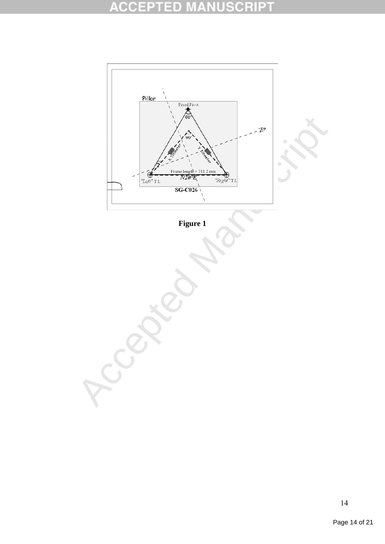#### **ACCEPTED NUSCRIPT** M ¥



**Figure 1**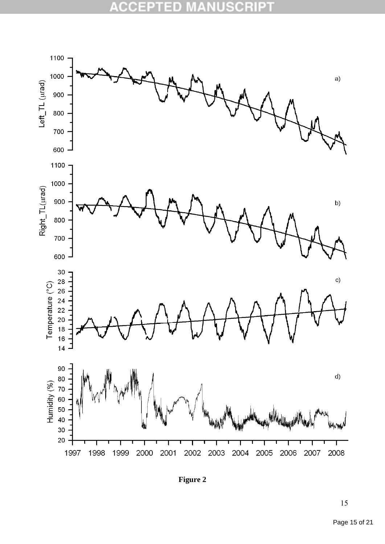

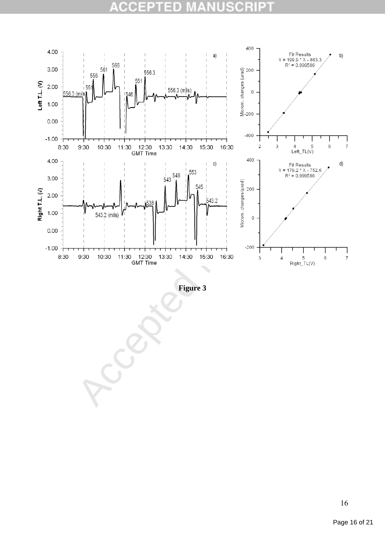#### CCE  $\scriptstyle\rm III$ D B)  $\blacksquare$  $\pm$ a



**Figure 3**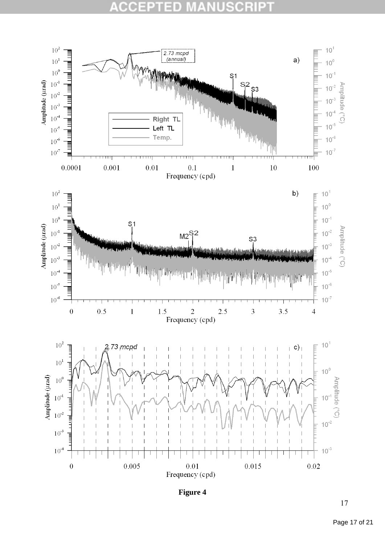#### CC Рī D C. Bł



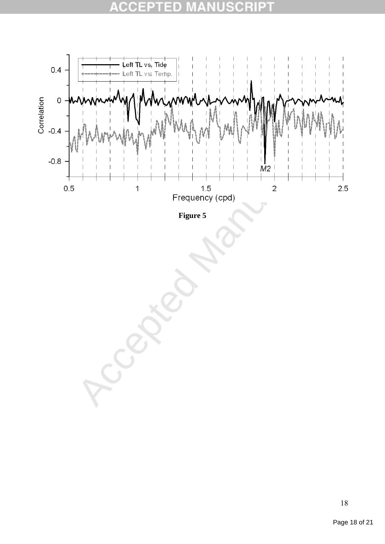#### C C ×  $\pm$ в E

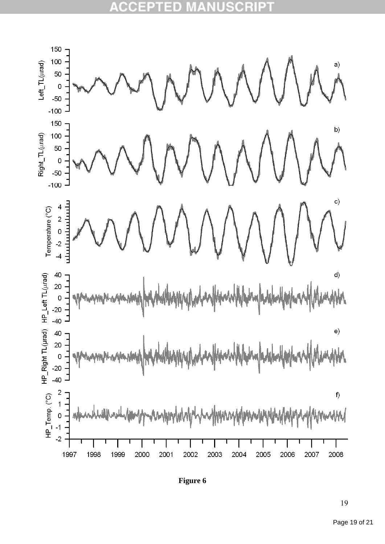#### CC Đ) Д D



**Figure 6**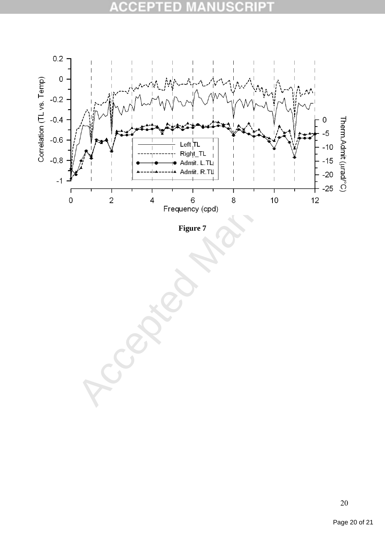#### CCE  $\mathbb{A}$ D  $\qquad \qquad \blacksquare$ E



**Figure 7**